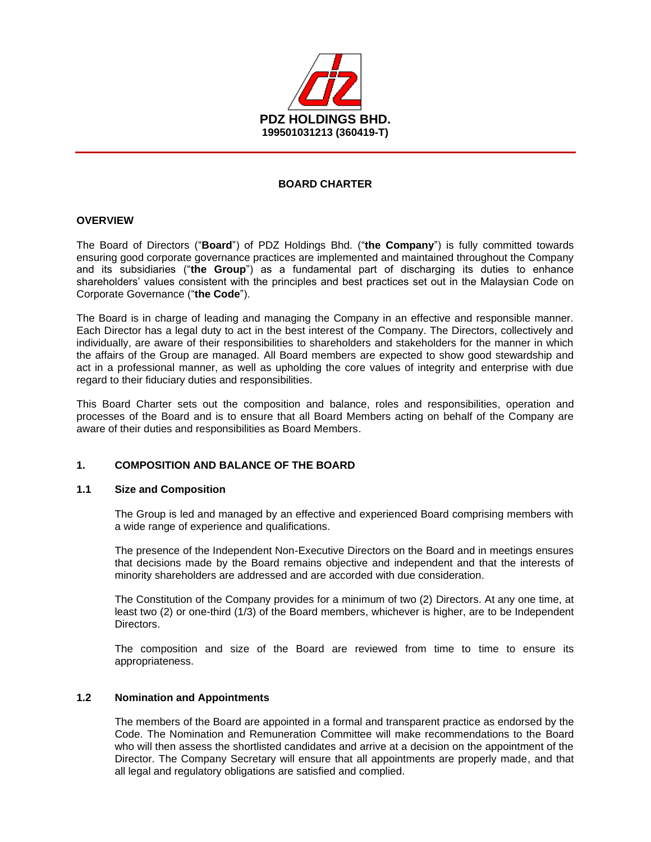

# **BOARD CHARTER**

### **OVERVIEW**

The Board of Directors ("**Board**") of PDZ Holdings Bhd. ("**the Company**") is fully committed towards ensuring good corporate governance practices are implemented and maintained throughout the Company and its subsidiaries ("**the Group**") as a fundamental part of discharging its duties to enhance shareholders' values consistent with the principles and best practices set out in the Malaysian Code on Corporate Governance ("**the Code**").

The Board is in charge of leading and managing the Company in an effective and responsible manner. Each Director has a legal duty to act in the best interest of the Company. The Directors, collectively and individually, are aware of their responsibilities to shareholders and stakeholders for the manner in which the affairs of the Group are managed. All Board members are expected to show good stewardship and act in a professional manner, as well as upholding the core values of integrity and enterprise with due regard to their fiduciary duties and responsibilities.

This Board Charter sets out the composition and balance, roles and responsibilities, operation and processes of the Board and is to ensure that all Board Members acting on behalf of the Company are aware of their duties and responsibilities as Board Members.

# **1. COMPOSITION AND BALANCE OF THE BOARD**

### **1.1 Size and Composition**

The Group is led and managed by an effective and experienced Board comprising members with a wide range of experience and qualifications.

The presence of the Independent Non-Executive Directors on the Board and in meetings ensures that decisions made by the Board remains objective and independent and that the interests of minority shareholders are addressed and are accorded with due consideration.

The Constitution of the Company provides for a minimum of two (2) Directors. At any one time, at least two (2) or one-third (1/3) of the Board members, whichever is higher, are to be Independent **Directors** 

The composition and size of the Board are reviewed from time to time to ensure its appropriateness.

### **1.2 Nomination and Appointments**

The members of the Board are appointed in a formal and transparent practice as endorsed by the Code. The Nomination and Remuneration Committee will make recommendations to the Board who will then assess the shortlisted candidates and arrive at a decision on the appointment of the Director. The Company Secretary will ensure that all appointments are properly made, and that all legal and regulatory obligations are satisfied and complied.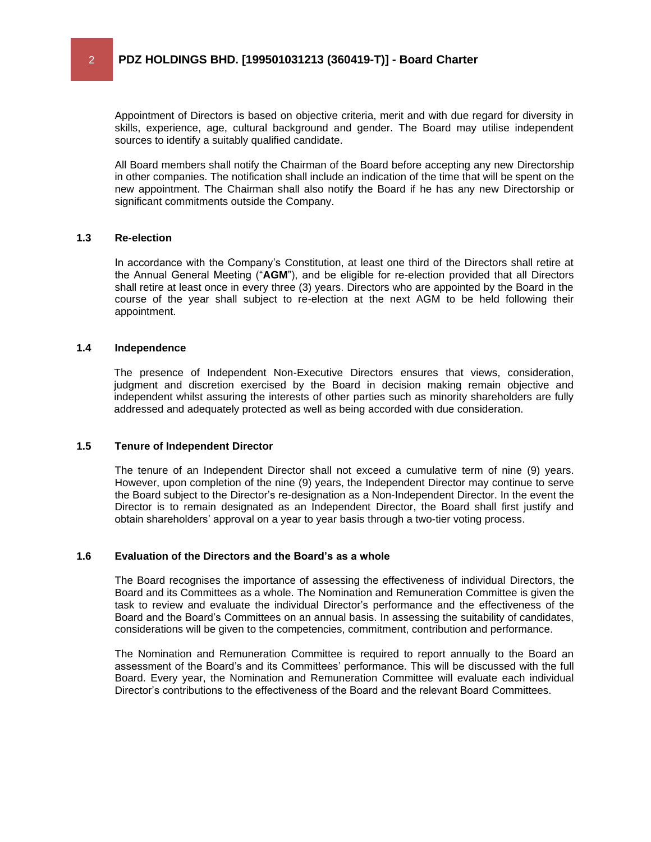Appointment of Directors is based on objective criteria, merit and with due regard for diversity in skills, experience, age, cultural background and gender. The Board may utilise independent sources to identify a suitably qualified candidate.

All Board members shall notify the Chairman of the Board before accepting any new Directorship in other companies. The notification shall include an indication of the time that will be spent on the new appointment. The Chairman shall also notify the Board if he has any new Directorship or significant commitments outside the Company.

#### **1.3 Re-election**

In accordance with the Company's Constitution, at least one third of the Directors shall retire at the Annual General Meeting ("**AGM**"), and be eligible for re-election provided that all Directors shall retire at least once in every three (3) years. Directors who are appointed by the Board in the course of the year shall subject to re-election at the next AGM to be held following their appointment.

### **1.4 Independence**

The presence of Independent Non-Executive Directors ensures that views, consideration, judgment and discretion exercised by the Board in decision making remain objective and independent whilst assuring the interests of other parties such as minority shareholders are fully addressed and adequately protected as well as being accorded with due consideration.

#### **1.5 Tenure of Independent Director**

The tenure of an Independent Director shall not exceed a cumulative term of nine (9) years. However, upon completion of the nine (9) years, the Independent Director may continue to serve the Board subject to the Director's re-designation as a Non-Independent Director. In the event the Director is to remain designated as an Independent Director, the Board shall first justify and obtain shareholders' approval on a year to year basis through a two-tier voting process.

#### **1.6 Evaluation of the Directors and the Board's as a whole**

The Board recognises the importance of assessing the effectiveness of individual Directors, the Board and its Committees as a whole. The Nomination and Remuneration Committee is given the task to review and evaluate the individual Director's performance and the effectiveness of the Board and the Board's Committees on an annual basis. In assessing the suitability of candidates, considerations will be given to the competencies, commitment, contribution and performance.

The Nomination and Remuneration Committee is required to report annually to the Board an assessment of the Board's and its Committees' performance. This will be discussed with the full Board. Every year, the Nomination and Remuneration Committee will evaluate each individual Director's contributions to the effectiveness of the Board and the relevant Board Committees.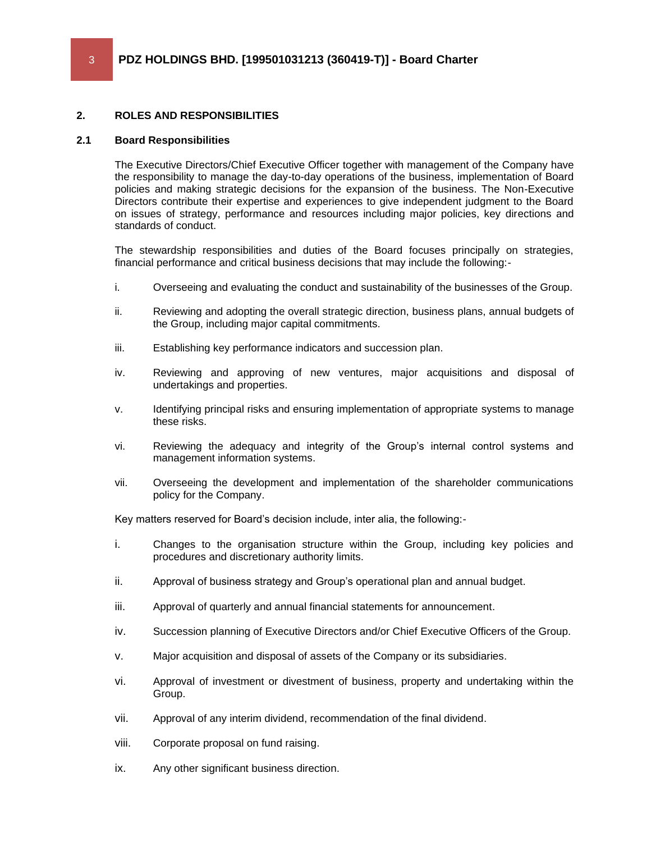# **2. ROLES AND RESPONSIBILITIES**

# **2.1 Board Responsibilities**

The Executive Directors/Chief Executive Officer together with management of the Company have the responsibility to manage the day-to-day operations of the business, implementation of Board policies and making strategic decisions for the expansion of the business. The Non-Executive Directors contribute their expertise and experiences to give independent judgment to the Board on issues of strategy, performance and resources including major policies, key directions and standards of conduct.

The stewardship responsibilities and duties of the Board focuses principally on strategies, financial performance and critical business decisions that may include the following:-

- i. Overseeing and evaluating the conduct and sustainability of the businesses of the Group.
- ii. Reviewing and adopting the overall strategic direction, business plans, annual budgets of the Group, including major capital commitments.
- iii. Establishing key performance indicators and succession plan.
- iv. Reviewing and approving of new ventures, major acquisitions and disposal of undertakings and properties.
- v. Identifying principal risks and ensuring implementation of appropriate systems to manage these risks.
- vi. Reviewing the adequacy and integrity of the Group's internal control systems and management information systems.
- vii. Overseeing the development and implementation of the shareholder communications policy for the Company.

Key matters reserved for Board's decision include, inter alia, the following:-

- i. Changes to the organisation structure within the Group, including key policies and procedures and discretionary authority limits.
- ii. Approval of business strategy and Group's operational plan and annual budget.
- iii. Approval of quarterly and annual financial statements for announcement.
- iv. Succession planning of Executive Directors and/or Chief Executive Officers of the Group.
- v. Major acquisition and disposal of assets of the Company or its subsidiaries.
- vi. Approval of investment or divestment of business, property and undertaking within the Group.
- vii. Approval of any interim dividend, recommendation of the final dividend.
- viii. Corporate proposal on fund raising.
- ix. Any other significant business direction.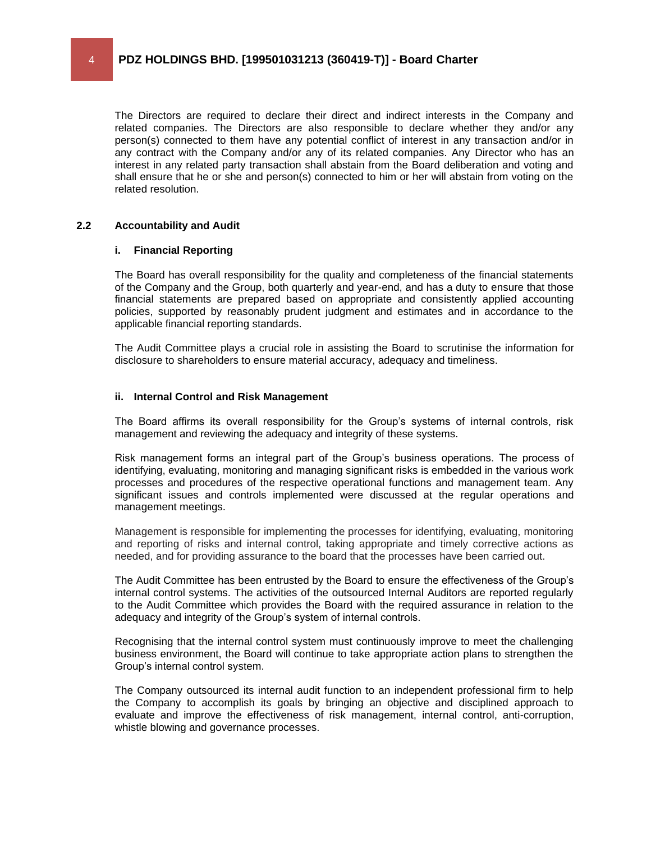The Directors are required to declare their direct and indirect interests in the Company and related companies. The Directors are also responsible to declare whether they and/or any person(s) connected to them have any potential conflict of interest in any transaction and/or in any contract with the Company and/or any of its related companies. Any Director who has an interest in any related party transaction shall abstain from the Board deliberation and voting and shall ensure that he or she and person(s) connected to him or her will abstain from voting on the related resolution.

### **2.2 Accountability and Audit**

### **i. Financial Reporting**

The Board has overall responsibility for the quality and completeness of the financial statements of the Company and the Group, both quarterly and year-end, and has a duty to ensure that those financial statements are prepared based on appropriate and consistently applied accounting policies, supported by reasonably prudent judgment and estimates and in accordance to the applicable financial reporting standards.

The Audit Committee plays a crucial role in assisting the Board to scrutinise the information for disclosure to shareholders to ensure material accuracy, adequacy and timeliness.

### **ii. Internal Control and Risk Management**

The Board affirms its overall responsibility for the Group's systems of internal controls, risk management and reviewing the adequacy and integrity of these systems.

Risk management forms an integral part of the Group's business operations. The process of identifying, evaluating, monitoring and managing significant risks is embedded in the various work processes and procedures of the respective operational functions and management team. Any significant issues and controls implemented were discussed at the regular operations and management meetings.

Management is responsible for implementing the processes for identifying, evaluating, monitoring and reporting of risks and internal control, taking appropriate and timely corrective actions as needed, and for providing assurance to the board that the processes have been carried out.

The Audit Committee has been entrusted by the Board to ensure the effectiveness of the Group's internal control systems. The activities of the outsourced Internal Auditors are reported regularly to the Audit Committee which provides the Board with the required assurance in relation to the adequacy and integrity of the Group's system of internal controls.

Recognising that the internal control system must continuously improve to meet the challenging business environment, the Board will continue to take appropriate action plans to strengthen the Group's internal control system.

The Company outsourced its internal audit function to an independent professional firm to help the Company to accomplish its goals by bringing an objective and disciplined approach to evaluate and improve the effectiveness of risk management, internal control, anti-corruption, whistle blowing and governance processes.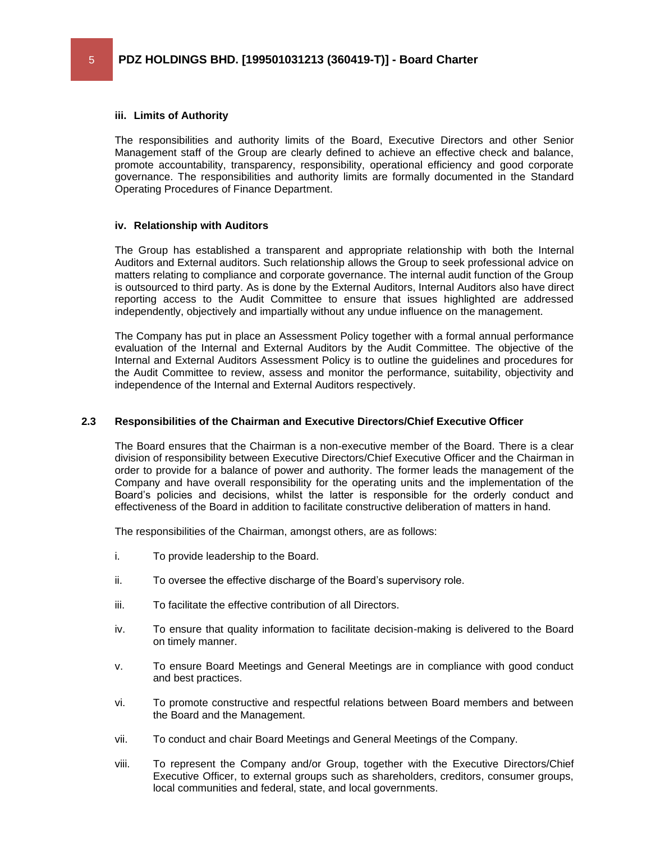### **iii. Limits of Authority**

The responsibilities and authority limits of the Board, Executive Directors and other Senior Management staff of the Group are clearly defined to achieve an effective check and balance, promote accountability, transparency, responsibility, operational efficiency and good corporate governance. The responsibilities and authority limits are formally documented in the Standard Operating Procedures of Finance Department.

### **iv. Relationship with Auditors**

The Group has established a transparent and appropriate relationship with both the Internal Auditors and External auditors. Such relationship allows the Group to seek professional advice on matters relating to compliance and corporate governance. The internal audit function of the Group is outsourced to third party. As is done by the External Auditors, Internal Auditors also have direct reporting access to the Audit Committee to ensure that issues highlighted are addressed independently, objectively and impartially without any undue influence on the management.

The Company has put in place an Assessment Policy together with a formal annual performance evaluation of the Internal and External Auditors by the Audit Committee. The objective of the Internal and External Auditors Assessment Policy is to outline the guidelines and procedures for the Audit Committee to review, assess and monitor the performance, suitability, objectivity and independence of the Internal and External Auditors respectively.

### **2.3 Responsibilities of the Chairman and Executive Directors/Chief Executive Officer**

The Board ensures that the Chairman is a non-executive member of the Board. There is a clear division of responsibility between Executive Directors/Chief Executive Officer and the Chairman in order to provide for a balance of power and authority. The former leads the management of the Company and have overall responsibility for the operating units and the implementation of the Board's policies and decisions, whilst the latter is responsible for the orderly conduct and effectiveness of the Board in addition to facilitate constructive deliberation of matters in hand.

The responsibilities of the Chairman, amongst others, are as follows:

- i. To provide leadership to the Board.
- ii. To oversee the effective discharge of the Board's supervisory role.
- iii. To facilitate the effective contribution of all Directors.
- iv. To ensure that quality information to facilitate decision-making is delivered to the Board on timely manner.
- v. To ensure Board Meetings and General Meetings are in compliance with good conduct and best practices.
- vi. To promote constructive and respectful relations between Board members and between the Board and the Management.
- vii. To conduct and chair Board Meetings and General Meetings of the Company.
- viii. To represent the Company and/or Group, together with the Executive Directors/Chief Executive Officer, to external groups such as shareholders, creditors, consumer groups, local communities and federal, state, and local governments.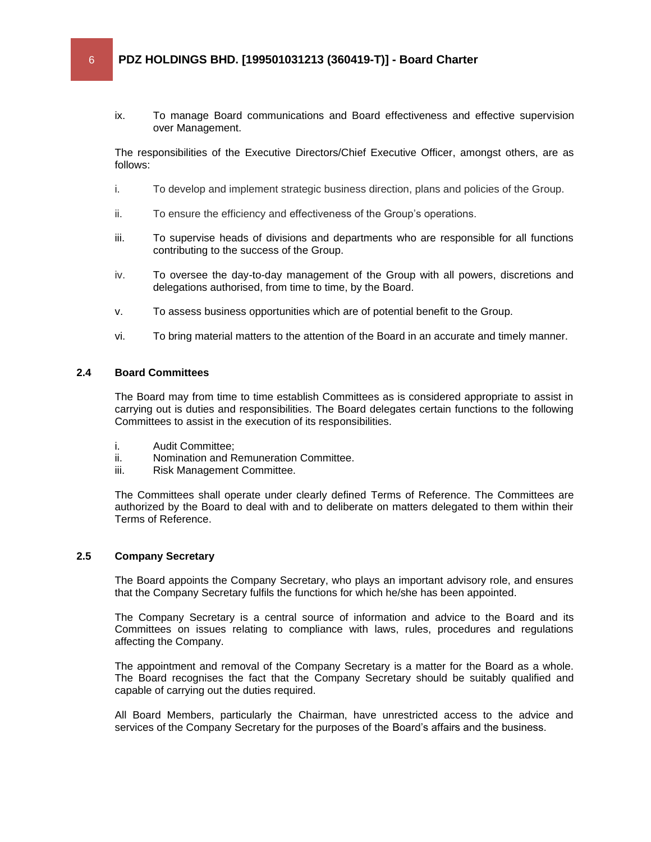ix. To manage Board communications and Board effectiveness and effective supervision over Management.

The responsibilities of the Executive Directors/Chief Executive Officer, amongst others, are as follows:

- i. To develop and implement strategic business direction, plans and policies of the Group.
- ii. To ensure the efficiency and effectiveness of the Group's operations.
- iii. To supervise heads of divisions and departments who are responsible for all functions contributing to the success of the Group.
- iv. To oversee the day-to-day management of the Group with all powers, discretions and delegations authorised, from time to time, by the Board.
- v. To assess business opportunities which are of potential benefit to the Group.
- vi. To bring material matters to the attention of the Board in an accurate and timely manner.

### **2.4 Board Committees**

The Board may from time to time establish Committees as is considered appropriate to assist in carrying out is duties and responsibilities. The Board delegates certain functions to the following Committees to assist in the execution of its responsibilities.

- i. Audit Committee;
- ii. Nomination and Remuneration Committee.
- iii. Risk Management Committee.

The Committees shall operate under clearly defined Terms of Reference. The Committees are authorized by the Board to deal with and to deliberate on matters delegated to them within their Terms of Reference.

### **2.5 Company Secretary**

The Board appoints the Company Secretary, who plays an important advisory role, and ensures that the Company Secretary fulfils the functions for which he/she has been appointed.

The Company Secretary is a central source of information and advice to the Board and its Committees on issues relating to compliance with laws, rules, procedures and regulations affecting the Company.

The appointment and removal of the Company Secretary is a matter for the Board as a whole. The Board recognises the fact that the Company Secretary should be suitably qualified and capable of carrying out the duties required.

All Board Members, particularly the Chairman, have unrestricted access to the advice and services of the Company Secretary for the purposes of the Board's affairs and the business.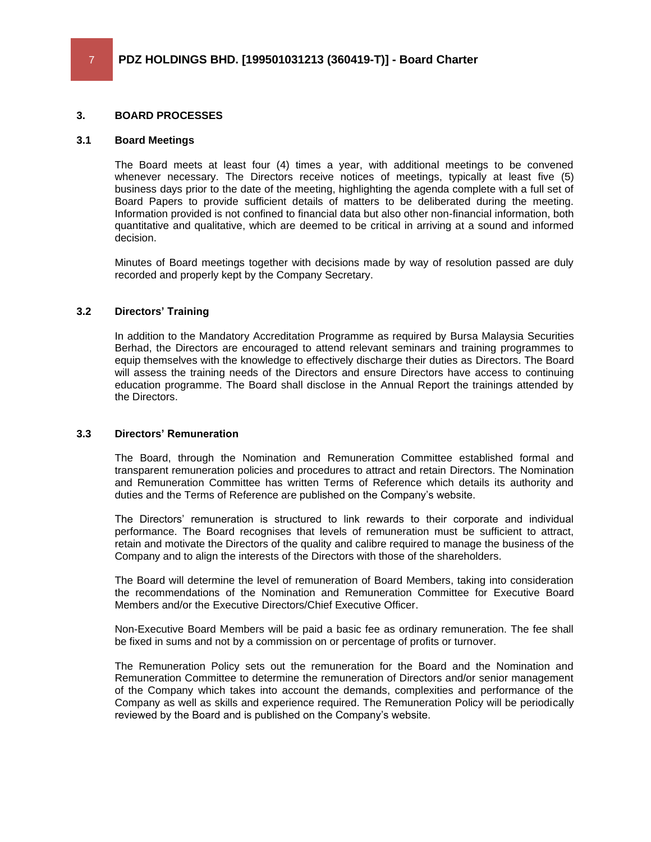### **3. BOARD PROCESSES**

### **3.1 Board Meetings**

The Board meets at least four (4) times a year, with additional meetings to be convened whenever necessary. The Directors receive notices of meetings, typically at least five (5) business days prior to the date of the meeting, highlighting the agenda complete with a full set of Board Papers to provide sufficient details of matters to be deliberated during the meeting. Information provided is not confined to financial data but also other non-financial information, both quantitative and qualitative, which are deemed to be critical in arriving at a sound and informed decision.

Minutes of Board meetings together with decisions made by way of resolution passed are duly recorded and properly kept by the Company Secretary.

### **3.2 Directors' Training**

In addition to the Mandatory Accreditation Programme as required by Bursa Malaysia Securities Berhad, the Directors are encouraged to attend relevant seminars and training programmes to equip themselves with the knowledge to effectively discharge their duties as Directors. The Board will assess the training needs of the Directors and ensure Directors have access to continuing education programme. The Board shall disclose in the Annual Report the trainings attended by the Directors.

### **3.3 Directors' Remuneration**

The Board, through the Nomination and Remuneration Committee established formal and transparent remuneration policies and procedures to attract and retain Directors. The Nomination and Remuneration Committee has written Terms of Reference which details its authority and duties and the Terms of Reference are published on the Company's website.

The Directors' remuneration is structured to link rewards to their corporate and individual performance. The Board recognises that levels of remuneration must be sufficient to attract, retain and motivate the Directors of the quality and calibre required to manage the business of the Company and to align the interests of the Directors with those of the shareholders.

The Board will determine the level of remuneration of Board Members, taking into consideration the recommendations of the Nomination and Remuneration Committee for Executive Board Members and/or the Executive Directors/Chief Executive Officer.

Non-Executive Board Members will be paid a basic fee as ordinary remuneration. The fee shall be fixed in sums and not by a commission on or percentage of profits or turnover.

The Remuneration Policy sets out the remuneration for the Board and the Nomination and Remuneration Committee to determine the remuneration of Directors and/or senior management of the Company which takes into account the demands, complexities and performance of the Company as well as skills and experience required. The Remuneration Policy will be periodically reviewed by the Board and is published on the Company's website.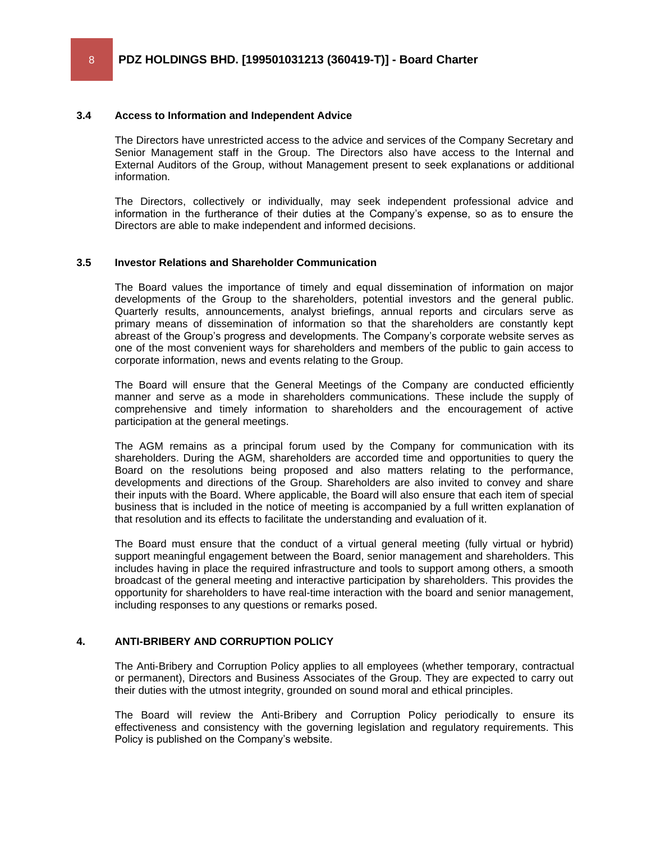### **3.4 Access to Information and Independent Advice**

The Directors have unrestricted access to the advice and services of the Company Secretary and Senior Management staff in the Group. The Directors also have access to the Internal and External Auditors of the Group, without Management present to seek explanations or additional information.

The Directors, collectively or individually, may seek independent professional advice and information in the furtherance of their duties at the Company's expense, so as to ensure the Directors are able to make independent and informed decisions.

### **3.5 Investor Relations and Shareholder Communication**

The Board values the importance of timely and equal dissemination of information on major developments of the Group to the shareholders, potential investors and the general public. Quarterly results, announcements, analyst briefings, annual reports and circulars serve as primary means of dissemination of information so that the shareholders are constantly kept abreast of the Group's progress and developments. The Company's corporate website serves as one of the most convenient ways for shareholders and members of the public to gain access to corporate information, news and events relating to the Group.

The Board will ensure that the General Meetings of the Company are conducted efficiently manner and serve as a mode in shareholders communications. These include the supply of comprehensive and timely information to shareholders and the encouragement of active participation at the general meetings.

The AGM remains as a principal forum used by the Company for communication with its shareholders. During the AGM, shareholders are accorded time and opportunities to query the Board on the resolutions being proposed and also matters relating to the performance, developments and directions of the Group. Shareholders are also invited to convey and share their inputs with the Board. Where applicable, the Board will also ensure that each item of special business that is included in the notice of meeting is accompanied by a full written explanation of that resolution and its effects to facilitate the understanding and evaluation of it.

The Board must ensure that the conduct of a virtual general meeting (fully virtual or hybrid) support meaningful engagement between the Board, senior management and shareholders. This includes having in place the required infrastructure and tools to support among others, a smooth broadcast of the general meeting and interactive participation by shareholders. This provides the opportunity for shareholders to have real-time interaction with the board and senior management, including responses to any questions or remarks posed.

### **4. ANTI-BRIBERY AND CORRUPTION POLICY**

The Anti-Bribery and Corruption Policy applies to all employees (whether temporary, contractual or permanent), Directors and Business Associates of the Group. They are expected to carry out their duties with the utmost integrity, grounded on sound moral and ethical principles.

The Board will review the Anti-Bribery and Corruption Policy periodically to ensure its effectiveness and consistency with the governing legislation and regulatory requirements. This Policy is published on the Company's website.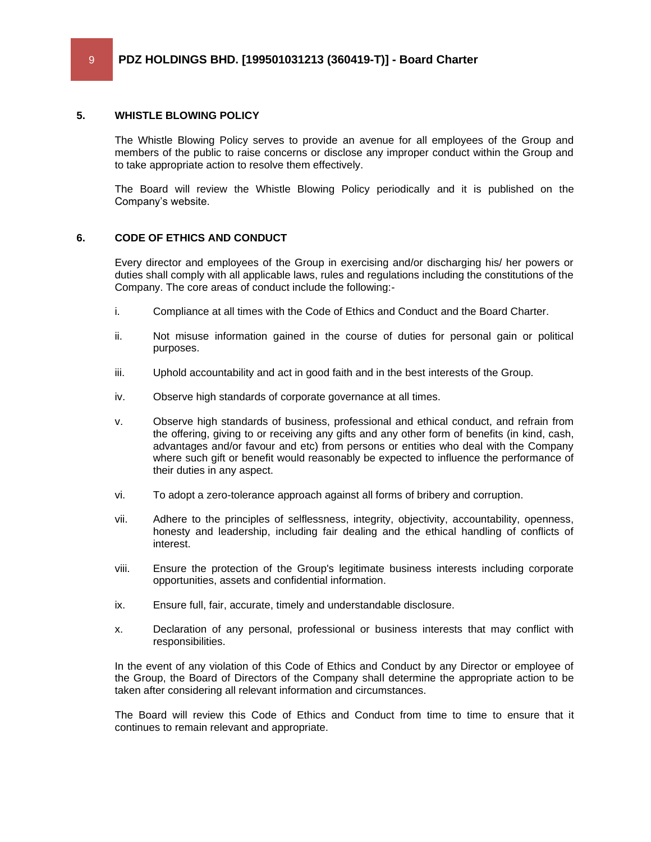### **5. WHISTLE BLOWING POLICY**

The Whistle Blowing Policy serves to provide an avenue for all employees of the Group and members of the public to raise concerns or disclose any improper conduct within the Group and to take appropriate action to resolve them effectively.

The Board will review the Whistle Blowing Policy periodically and it is published on the Company's website.

# **6. CODE OF ETHICS AND CONDUCT**

Every director and employees of the Group in exercising and/or discharging his/ her powers or duties shall comply with all applicable laws, rules and regulations including the constitutions of the Company. The core areas of conduct include the following:-

- i. Compliance at all times with the Code of Ethics and Conduct and the Board Charter.
- ii. Not misuse information gained in the course of duties for personal gain or political purposes.
- iii. Uphold accountability and act in good faith and in the best interests of the Group.
- iv. Observe high standards of corporate governance at all times.
- v. Observe high standards of business, professional and ethical conduct, and refrain from the offering, giving to or receiving any gifts and any other form of benefits (in kind, cash, advantages and/or favour and etc) from persons or entities who deal with the Company where such gift or benefit would reasonably be expected to influence the performance of their duties in any aspect.
- vi. To adopt a zero-tolerance approach against all forms of bribery and corruption.
- vii. Adhere to the principles of selflessness, integrity, objectivity, accountability, openness, honesty and leadership, including fair dealing and the ethical handling of conflicts of interest.
- viii. Ensure the protection of the Group's legitimate business interests including corporate opportunities, assets and confidential information.
- ix. Ensure full, fair, accurate, timely and understandable disclosure.
- x. Declaration of any personal, professional or business interests that may conflict with responsibilities.

In the event of any violation of this Code of Ethics and Conduct by any Director or employee of the Group, the Board of Directors of the Company shall determine the appropriate action to be taken after considering all relevant information and circumstances.

The Board will review this Code of Ethics and Conduct from time to time to ensure that it continues to remain relevant and appropriate.